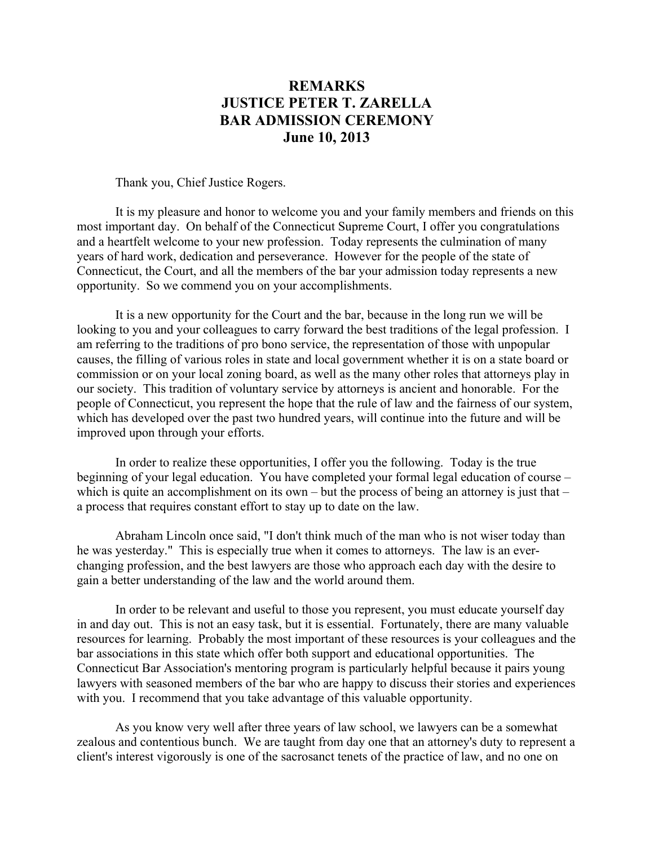## **REMARKS JUSTICE PETER T. ZARELLA BAR ADMISSION CEREMONY June 10, 2013**

Thank you, Chief Justice Rogers.

 It is my pleasure and honor to welcome you and your family members and friends on this most important day. On behalf of the Connecticut Supreme Court, I offer you congratulations and a heartfelt welcome to your new profession. Today represents the culmination of many years of hard work, dedication and perseverance. However for the people of the state of Connecticut, the Court, and all the members of the bar your admission today represents a new opportunity. So we commend you on your accomplishments.

 It is a new opportunity for the Court and the bar, because in the long run we will be looking to you and your colleagues to carry forward the best traditions of the legal profession. I am referring to the traditions of pro bono service, the representation of those with unpopular causes, the filling of various roles in state and local government whether it is on a state board or commission or on your local zoning board, as well as the many other roles that attorneys play in our society. This tradition of voluntary service by attorneys is ancient and honorable. For the people of Connecticut, you represent the hope that the rule of law and the fairness of our system, which has developed over the past two hundred years, will continue into the future and will be improved upon through your efforts.

 In order to realize these opportunities, I offer you the following. Today is the true beginning of your legal education. You have completed your formal legal education of course – which is quite an accomplishment on its own – but the process of being an attorney is just that – a process that requires constant effort to stay up to date on the law.

 Abraham Lincoln once said, "I don't think much of the man who is not wiser today than he was yesterday." This is especially true when it comes to attorneys. The law is an everchanging profession, and the best lawyers are those who approach each day with the desire to gain a better understanding of the law and the world around them.

 In order to be relevant and useful to those you represent, you must educate yourself day in and day out. This is not an easy task, but it is essential. Fortunately, there are many valuable resources for learning. Probably the most important of these resources is your colleagues and the bar associations in this state which offer both support and educational opportunities. The Connecticut Bar Association's mentoring program is particularly helpful because it pairs young lawyers with seasoned members of the bar who are happy to discuss their stories and experiences with you. I recommend that you take advantage of this valuable opportunity.

 As you know very well after three years of law school, we lawyers can be a somewhat zealous and contentious bunch. We are taught from day one that an attorney's duty to represent a client's interest vigorously is one of the sacrosanct tenets of the practice of law, and no one on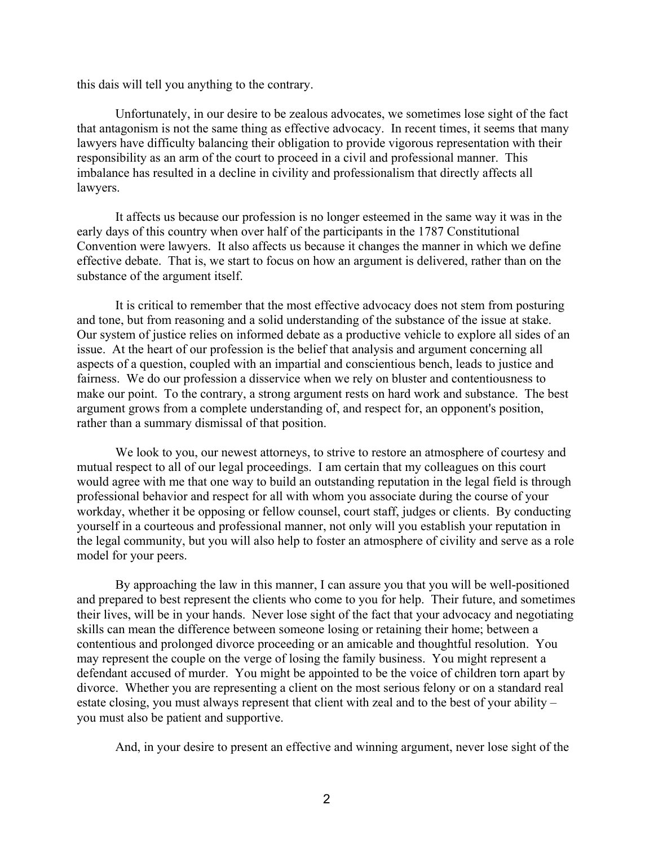this dais will tell you anything to the contrary.

 Unfortunately, in our desire to be zealous advocates, we sometimes lose sight of the fact that antagonism is not the same thing as effective advocacy. In recent times, it seems that many lawyers have difficulty balancing their obligation to provide vigorous representation with their responsibility as an arm of the court to proceed in a civil and professional manner. This imbalance has resulted in a decline in civility and professionalism that directly affects all lawyers.

 It affects us because our profession is no longer esteemed in the same way it was in the early days of this country when over half of the participants in the 1787 Constitutional Convention were lawyers. It also affects us because it changes the manner in which we define effective debate. That is, we start to focus on how an argument is delivered, rather than on the substance of the argument itself.

 It is critical to remember that the most effective advocacy does not stem from posturing and tone, but from reasoning and a solid understanding of the substance of the issue at stake. Our system of justice relies on informed debate as a productive vehicle to explore all sides of an issue. At the heart of our profession is the belief that analysis and argument concerning all aspects of a question, coupled with an impartial and conscientious bench, leads to justice and fairness. We do our profession a disservice when we rely on bluster and contentiousness to make our point. To the contrary, a strong argument rests on hard work and substance. The best argument grows from a complete understanding of, and respect for, an opponent's position, rather than a summary dismissal of that position.

We look to you, our newest attorneys, to strive to restore an atmosphere of courtesy and mutual respect to all of our legal proceedings. I am certain that my colleagues on this court would agree with me that one way to build an outstanding reputation in the legal field is through professional behavior and respect for all with whom you associate during the course of your workday, whether it be opposing or fellow counsel, court staff, judges or clients. By conducting yourself in a courteous and professional manner, not only will you establish your reputation in the legal community, but you will also help to foster an atmosphere of civility and serve as a role model for your peers.

 By approaching the law in this manner, I can assure you that you will be well-positioned and prepared to best represent the clients who come to you for help. Their future, and sometimes their lives, will be in your hands. Never lose sight of the fact that your advocacy and negotiating skills can mean the difference between someone losing or retaining their home; between a contentious and prolonged divorce proceeding or an amicable and thoughtful resolution. You may represent the couple on the verge of losing the family business. You might represent a defendant accused of murder. You might be appointed to be the voice of children torn apart by divorce. Whether you are representing a client on the most serious felony or on a standard real estate closing, you must always represent that client with zeal and to the best of your ability – you must also be patient and supportive.

And, in your desire to present an effective and winning argument, never lose sight of the